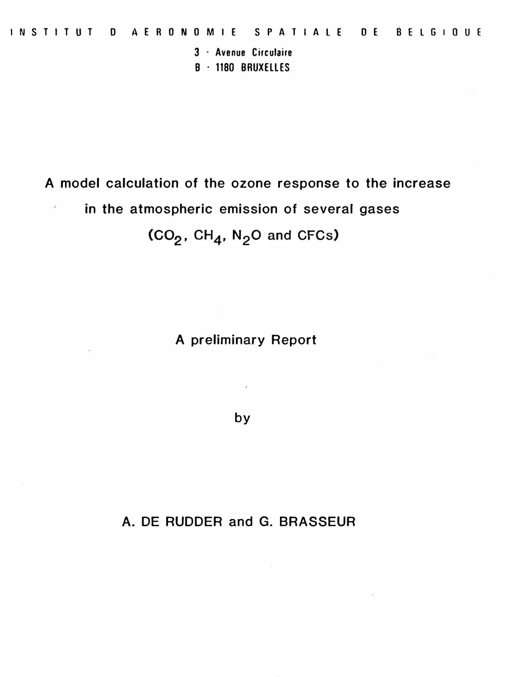**3 · Avenue Circulaire** 

**B · 1180 BRUXELLES** 

**A model calculation of the ozone response to the increase in the atmospheric emission of several gases**   $(CO<sub>2</sub>, CH<sub>4</sub>, N<sub>2</sub>O$  and CFCs)

**A preliminary Report** 

by

**A. DE RUDDER and G. BRASSEUR**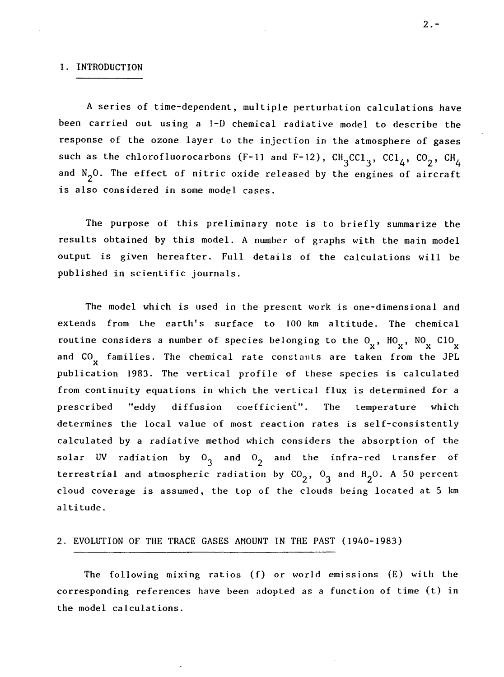#### 1. INTRODUCTION

A series of time-dependent, multiple perturbation calculations **have**  been carried out using a 1-D chemical radiative model to describe the response of the ozone layer to the injection in the atmosphere of gases such as the chlorofluorocarbons (F-11 and F-12),  $\text{CH}_{3}\text{cCl}_{3}$ ,  $\text{CCl}_{4}$ ,  $\text{CO}_{2}$ ,  $\text{CH}_{4}$ and  $N_2$ 0. The effect of nitric oxide released by the engines of aircraft is also considered in some model cases.

The purpose of this preliminary note is to briefly summarize the results obtained by this model. A number of graphs with the main model output is given hereafter. Full details of the calculations will be published in scientific journals.

The model which is used in the present work is one-dimensional and extends from the earth's surface to JOO km altitude. The chemical routine considers a number of species belonging to the  $0_x$ ,  $HO_x$ ,  $NO_x$   $ClO_x$ and CO<sub>X</sub> families. The chemical rate constants are taken from the JPL publication 1983. The vertical profile of these species is calculated from continuity equations in which the vertical flux is determined for a prescribed "eddy diffusion coefficient". The temperature which determines the local value of most reaction rates is self-consistently calculated by a radiative method which considers the absorption of the solar UV radiation by  $0<sub>3</sub>$  and  $0<sub>2</sub>$  and the infra-red transfer of terrestrial and atmospheric radiation by  $\text{CO}_2^{\text{}}$ ,  $\text{O}_3^{\text{}}$  and  $\text{H}_2\text{O}$ . A 50 percent cloud coverage is assumed, the top of the clouds being located at 5 km altitude.

### 2. EVOLUTION OF THE TRACE GASES AMOUNT **lN** THE PAST (1940-1983)

The following mixing ratios (f) or world emissions (E) with the corresponding references have been adopted as a function of time (t) in the model calculations.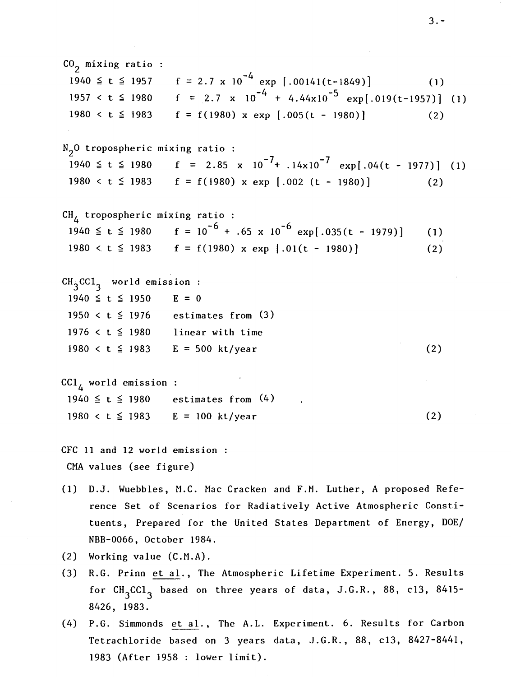$CO<sub>2</sub>$  mixing ratio : 1940  $\leq$  t  $\leq$  1957 f = 2.7 x 10<sup>-4</sup> exp [.00141(t-1849)] (1)<br>1957 < t  $\leq$  1980 f = 2.7 x 10<sup>-4</sup> + 4.44x10<sup>-5</sup> exp[.019(t-1957)]  $f = [2.7 \times 10^{-4} + 4.44 \times 10^{-5} \text{ exp}].019(t-1957)]$  (1)  $1980 < t \le 1983$   $f = f(1980) \times \exp \left[ .005(t - 1980) \right]$  (2)  $N<sub>2</sub>0$  tropospheric mixing ratio : 1940  $\leq$  t  $\leq$  1980 f = 2.85 x 10<sup>-7</sup>+ .14x10<sup>-7</sup> exp[.04(t - 1977)] (1)  $1980 < t \le 1983$  f = f(1980) x exp [.002 (t - 1980)] (2) CH<sub>4</sub> tropospheric mixing ratio : 1940  $\leq t \leq 1980$  f = 10<sup>-6</sup> + .65 x 10<sup>-6</sup> exp[.035(t - 1979)] (1)  $1980 < t \le 1983$  f = f(1980) x exp [.01(t - 1980)]  $CH<sub>3</sub>$ CCl<sub>3</sub> world emission  $1940 \le t \le 1950$  E = 0 1950  $lt$   $t \le 1976$  estimates from (3) 1976  $\lt t \leq$  1980 linear with time 1980  $<$  t  $\le$  1983 E = 500 kt/year  $\text{CC1}_{\Lambda}$  world emission :  $1940 \le t \le 1980$  estimates from (4) (2) (2)  $1980 < t \le 1983$  E = 100 kt/year (2) CFC 11 and 12 world emission CMA values (see figure) (1) D.J. Wuebbles, M.C. Mac Cracken and F.M. Luther, A proposed Reference Set of Scenarios for Radiatively Active Atmospheric Constituents, Prepared for the United States Department of Energy, DOE/

(2) Working value (C.M.A).

NBB-0066, October 1984.

- (3) R.G. Prinn et al., The Atmospheric Lifetime Experiment. 5. Results for  $\texttt{CH}_{3}\texttt{CCl}_{3}$  based on three years of data, J.G.R., 88, cl3, 8415-8426, 1983.
- (4) P.G. Simmonds et al., The A.L. Experiment. 6. Results for Carbon Tetrachloride based on 3 years data, J.G.R., 88, cl3, 8427-8441, 1983 (After 1958 : lower limit).

3.-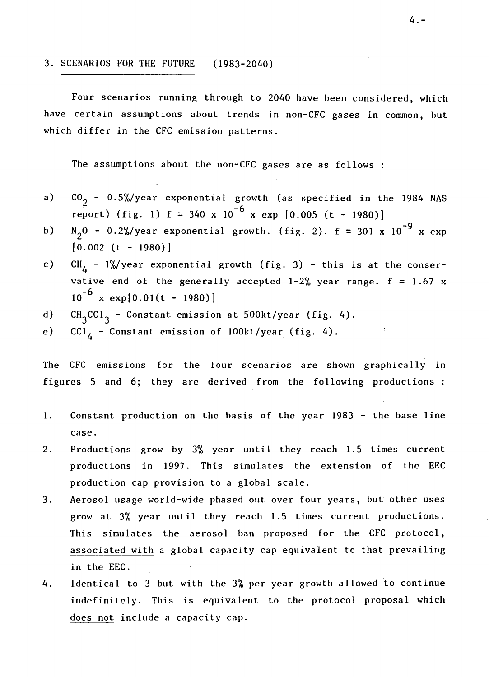# 3. SCENARIOS FOR THE FUTURE (1983-2040)

Four scenarios running through to 2040 have been considered, which have certain assumptions about trends in non-CFC gases in common, but which differ in the CFC emission patterns.

The assumptions about the non-CFC gases are as follows :

- a)  $CO<sub>2</sub>$  - 0.5%/year exponential growth (as specified in the 1984 NAS report) (fig. 1)  $f = 340 \times 10^{-6} \times \exp [0.005 (t - 1980)]$
- b)  $N_2O - 0.2\%/year$  exponential growth. (fig. 2). f = 301 x 10<sup>-9</sup> x exp  $[0.002 (t - 1980)]$
- c)  $CH_A$  - 1%/year exponential growth (fig. 3) - this is at the conservative end of the generally accepted  $1-2\%$  year range.  $f = 1.67$  x  $10^{-6}$  x exp[0.01(t - 1980)]
- d)  $CH_3CCl_3$  Constant emission at 500kt/year (fig. 4).
- e)  $CCI_{\Lambda}$  Constant emission of 100kt/year (fig. 4).

The CFC emissions for the four scenarios are shown graphically in figures 5 and 6; they are derived from the following productions :

- 1. Constant production on the basis of the year 1983 the base line case.
- 2. Productions grow by 3% year until they reach 1.5 times current productions in 1997. This simulates the extension of the EEC production cap provision to a global scale.
- 3. Aerosol usage world-wide phased out over four years, but' other uses grow at 3% year until they reach 1.5 times current productions. This simulates the aerosol ban proposed for the CFC protocol, associated with a global capacity cap equivalent to that prevailing in the EEC.
- 4. Identical to 3 but with the 3% per year growth allowed to continue indefinitely. This is equivalent to the protocol proposal which does not include a capacity cap.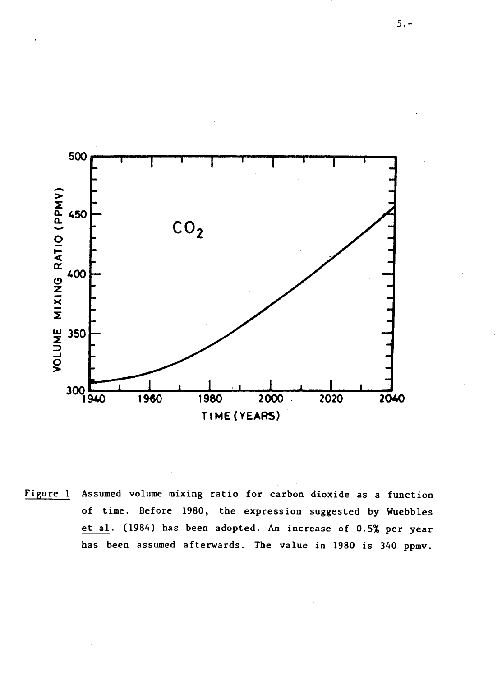

Figure 1 Assumed volume mixing ratio for carbon dioxide as a function of time. Before 1980, the expression suggested by Wuebbles et al. (1984) has been adopted. An increase of 0.5% per year bas been assumed afterwards. The value in 1980 is 340 ppmv.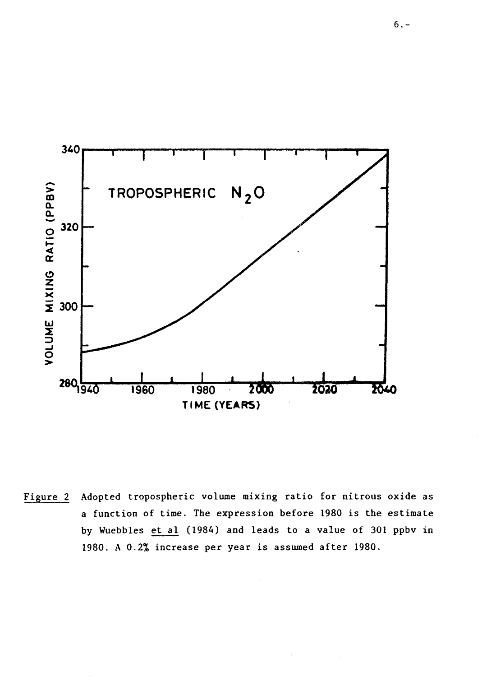

Adopted tropospheric volume mixing ratio for nitrous oxide as Figure 2 a function of time. The expression before 1980 is the estimate by Wuebbles et al (1984) and leads to a value of 301 ppbv in 1980. A 0.2% increase per year is assumed after 1980.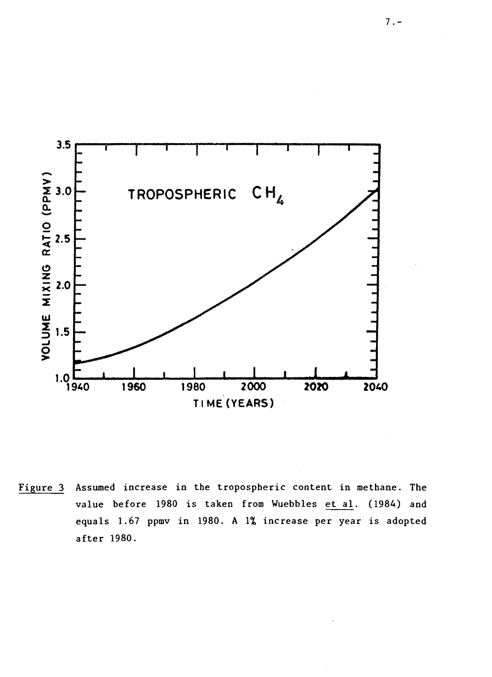

Figure 3 Assumed increase in the tropospheric content in methane. The value before 1980 is taken from Wuebbles et al. (1984) and equals 1.67 ppmv in 1980. A 1% increase per year is adopted after 1980.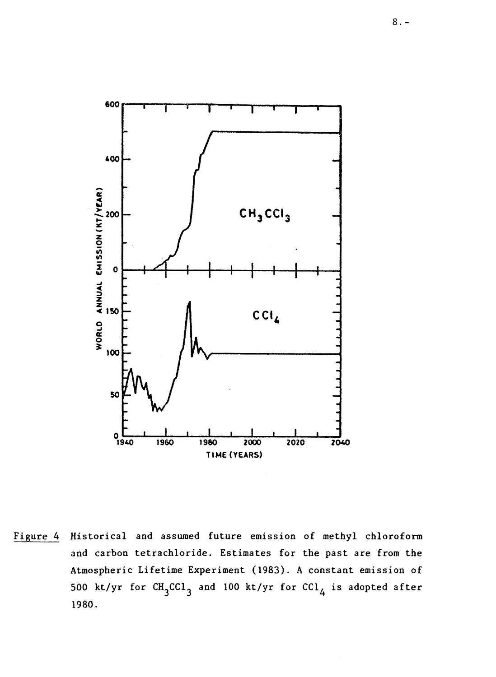

Figure 4 Historical and assumed future emission of methyl chloroform and carbon tetrachloride. Estimates for the past are from the Atmospheric Lifetime Experiment (1983). A constant emission of 500 kt/yr for  $\texttt{CH}_{3}^\texttt{CCL}_{3}$  and 100 kt/yr for  $\texttt{CC1}_{4}$  is adopted after 1980.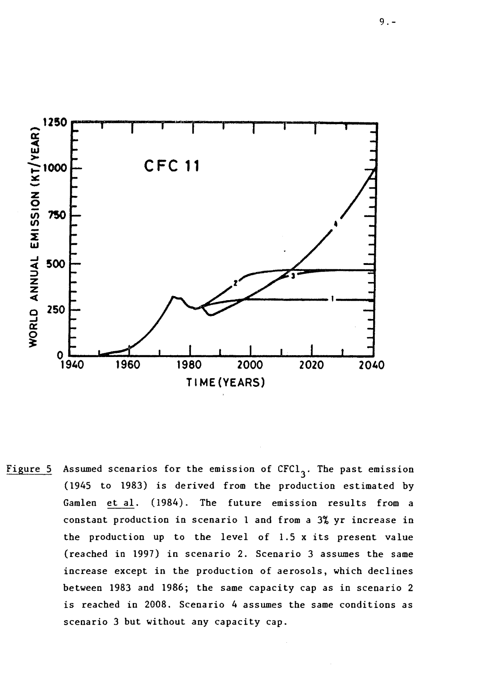

Figure 5 Assumed scenarios for the emission of  $CFC1<sub>3</sub>$ . The past emission (1945 to 1983) is derived from the production estimated by Gamlen et al. (1984). The future emission results from a constant production in scenario 1 and from a 3% yr increase in the production up to the level of 1.5 x its present value (reached in 1997) in scenario 2. Scenario 3 assumes the same increase except in the production of aerosols, which declines between 1983 and 1986; the same capacity cap as in scenario 2 is reached in 2008. Scenario 4 assumes the same conditions as scenario 3 but without any capacity cap.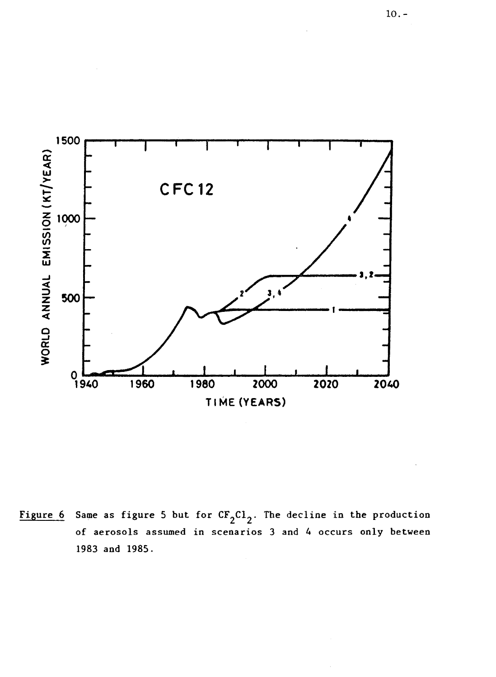

Figure 6 Same as figure 5 but for  $CF_2Cl_2$ . The decline in the production of aerosols assumed in scenarios 3 and 4 occurs only between 1983 and 1985.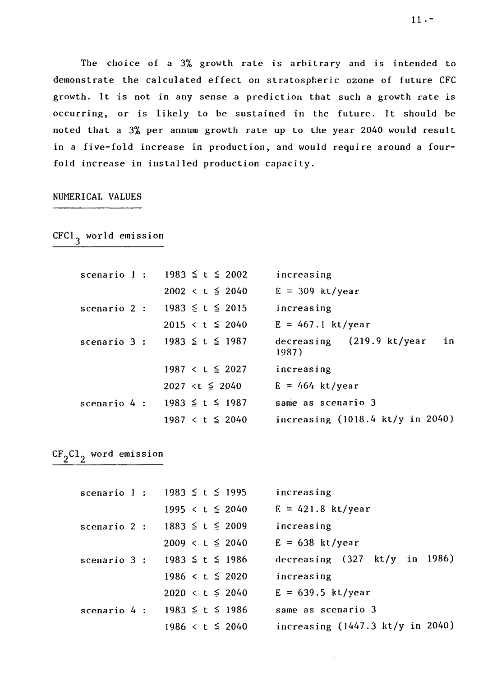The choice of a 3% growth rate is arbitrary and is intended to demonstrate the calculated effect on stratospheric ozone of future CFC growth. It is not in any sense a prediction that such a growth rate is occurring, or is likely to be sustained in the future. It should be noted that a 3% per annum growth rate up to the year 2040 would result in a five-fold increase in production, and would require around a fourfold increase in installed production capacity.

### NUMERICAL VALUES

 $CFC1<sub>3</sub>$  world emission

| scenario 1: $1983 \le t \le 2002$      | increasing                                  |
|----------------------------------------|---------------------------------------------|
| $2002 < t \le 2040$                    | $E = 309$ kt/year                           |
| scenario 2 : $1983 \le t \le 2015$     | increasing                                  |
| $2015 < t \leq 2040$                   | $E = 467.1$ kt/year                         |
| scenario 3 : 1983 ≤ t ≤ 1987           | decreasing (219.9 kt/year<br>in<br>1987)    |
| 1987 $\lt t \leq 2027$                 | increasing                                  |
| 2027 <t <math="">\leq 2040</t>         | $E = 464$ kt/year                           |
| scenario 4 : 1983 $\leq$ t $\leq$ 1987 | same as scenario 3                          |
| 1987 $\lt t \leq 2040$                 | increasing $(1018.4 \text{ kt/y in } 2040)$ |

# $CF_2Cl_2$  word emission

| scenario 1 : 1983 $\le t \le 1995$     | increasing                                       |
|----------------------------------------|--------------------------------------------------|
| 1995 $\lt t \leq 2040$                 | $E = 421.8$ kt/year                              |
| scenario 2 : $1883 \le t \le 2009$     | increasing                                       |
| 2009 $\lt t \leq 2040$                 | $E = 638$ kt/year                                |
| scenario 3 : 1983 $\leq$ t $\leq$ 1986 | decreasing $(327 \text{ kt/y} \text{ in } 1986)$ |
| 1986 $\lt t \leq 2020$                 | increasing                                       |
| $2020 < t \leq 2040$                   | $E = 639.5$ kt/year                              |
| scenario 4 : 1983 $\leq$ t $\leq$ 1986 | same as scenario 3                               |
| 1986 $\lt t \leq 2040$                 | increasing $(1447.3 \text{ kt/y in } 2040)$      |

 $11. -$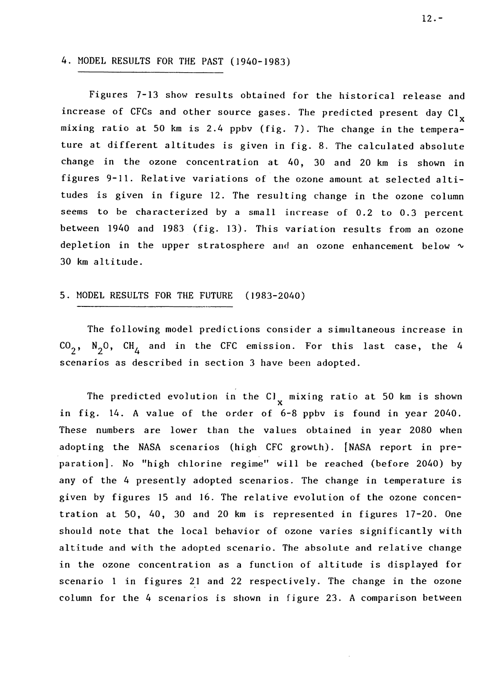# 4. MODEL RESULTS FOR THE PAST (1940-1983)

Figures 7-13 show results obtained for the historical release and increase of CFCs and other source gases. The predicted present day  $\text{Cl}_{_{\mathbf{X}}}$ mixing ratio at 50 km is 2.4 ppbv (fig. 7). The change in the temperature at different altitudes is given in fig. 8. The calculated absolute change in the ozone concentration at 40, 30 and 20 km is shown in figures 9-11. Relative variations of the ozone amount at selected altitudes is given in figure 12. The resulting change in the ozone column seems to be characterized by a small increase of 0.2 to 0.3 percent between 1940 and 1983 (fig. 13). This variation results from an ozone depletion in the upper stratosphere and an ozone enhancement below  $\sim$ 30 km altitude.

# 5. MODEL RESULTS FOR THE FUTURE (1983-2040)

The following model predictions consider a simultaneous increase in  $\text{CO}_2$ ,  $\text{N}_2\text{O}$ ,  $\text{CH}_4$  and in the CFC emission. For this last case, the 4 scenarios as described in section 3 have been adopted.

The predicted evolution in the Cl<sub>x</sub> mixing ratio at 50 km is shown in fig. 14. A value of the order of 6-8 ppbv is found in year 2040. These numbers are lower than the values obtained in year 2080 when adopting the NASA scenarios (high CFC growth). [NASA report in preparation]. No "high chlorine regime" will be reached (before 2040) by any of the 4 presently adopted scenarios. The change in temperature is given by figures 15 and 16. The relative evolution of the ozone concentration at 50, 40, 30 and 20 km is represented in figures 17-20. One should note that the local behavior of ozone varies significantly with altitude and with the adopted scenario. The absolute and relative change in the ozone concentration as a function of altitude is displayed for scenario 1 in figures 21 and 22 respectively. The change in the ozone column for the 4 scenarios is shown in figure 23. A comparison between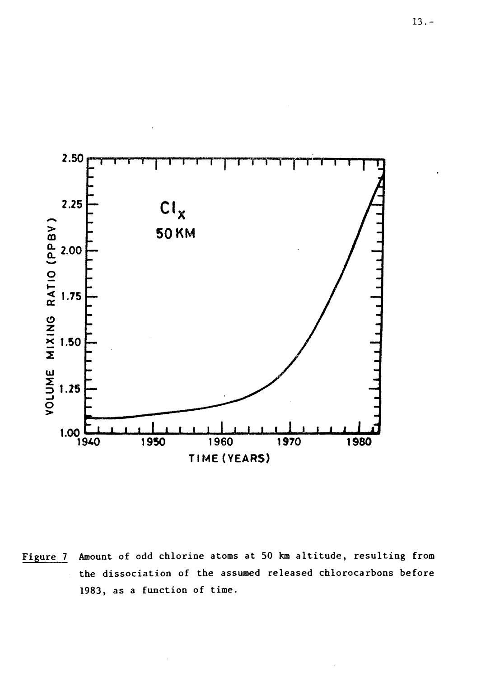

Amount of odd chlorine atoms at 50 km altitude, resulting from Figure 7 the dissociation of the assumed released chlorocarbons before 1983, as a function of time.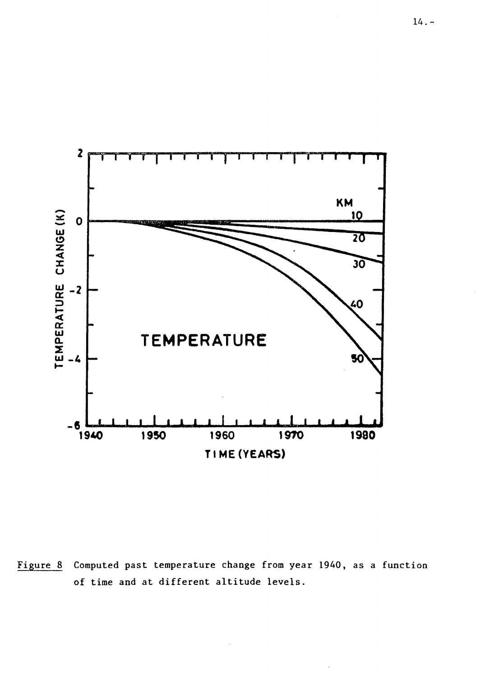

Computed past temperature change from year 1940, as a function Figure 8 of time and at different altitude levels.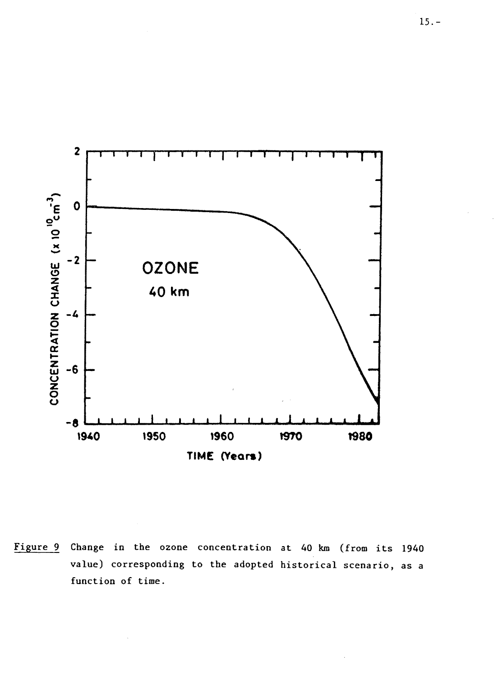

Figure 9 Change in the ozone concentration at 40 km (from its 1940 value) corresponding to the adopted historical scenario, as a function of time.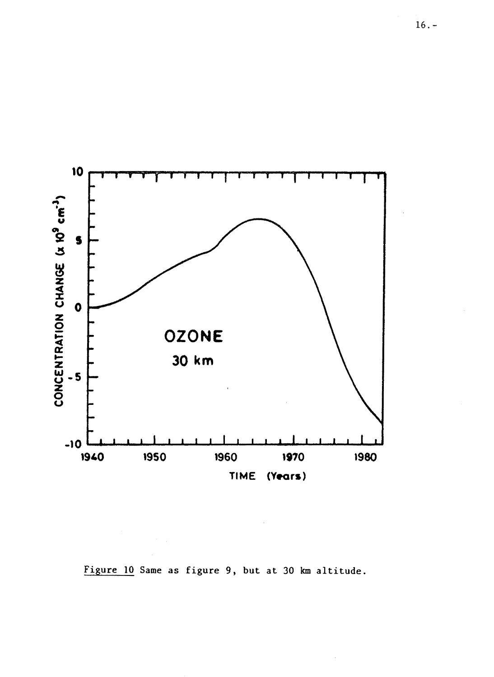

Figure 10 Same as figure 9, but at 30 km altitude.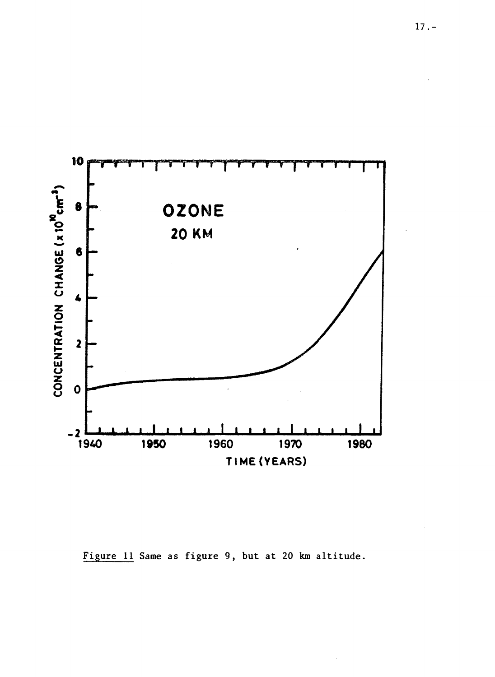

Figure 11 Same as figure 9, but at 20 km altitude.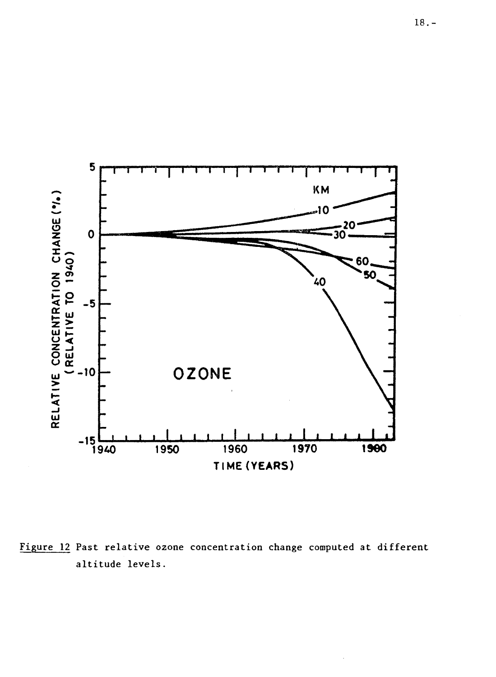

Figure 12 Past relative ozone concentration change computed at different altitude levels.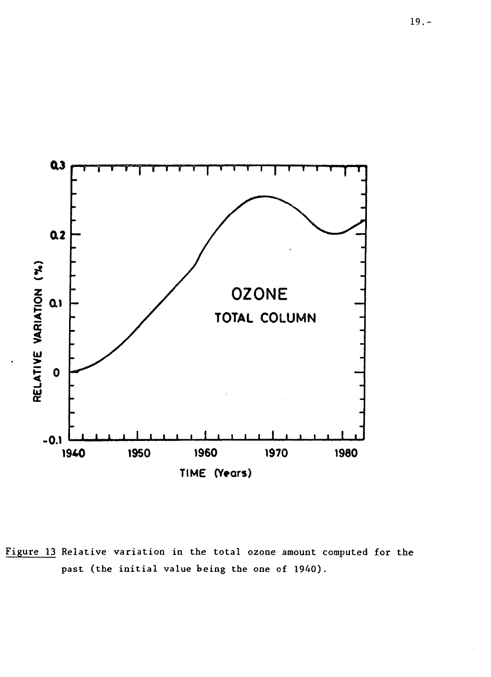

Figure 13 Relative variation in the total ozone amount computed for the past (the initial value being the one of 1940).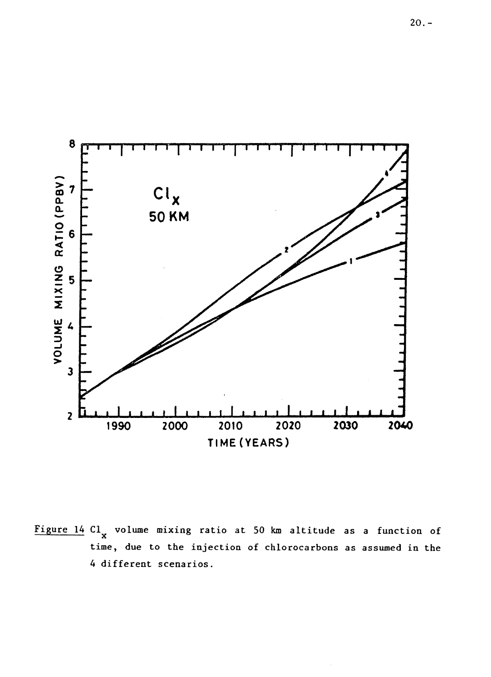

Figure 14  $Cl_x$  volume mixing ratio at 50 km altitude as a function of time, due to the injection of chlorocarbons as assumed in the 4 different scenarios.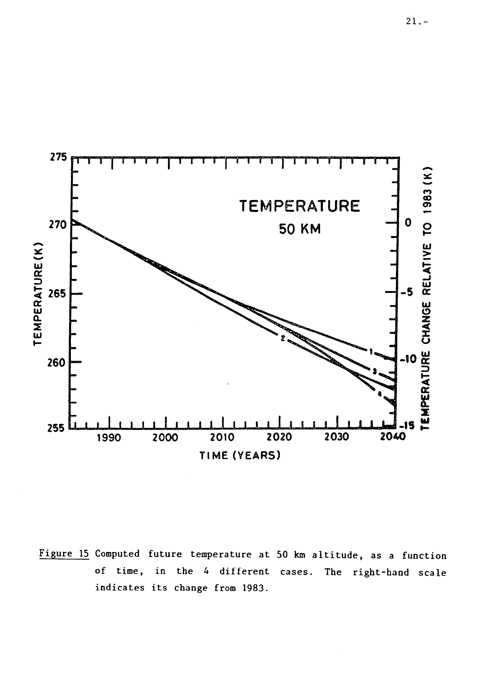

Figure 15 Computed future temperature at 50 km altitude, as a function of time, in the 4 different cases. The right-hand scale indicates its change from 1983.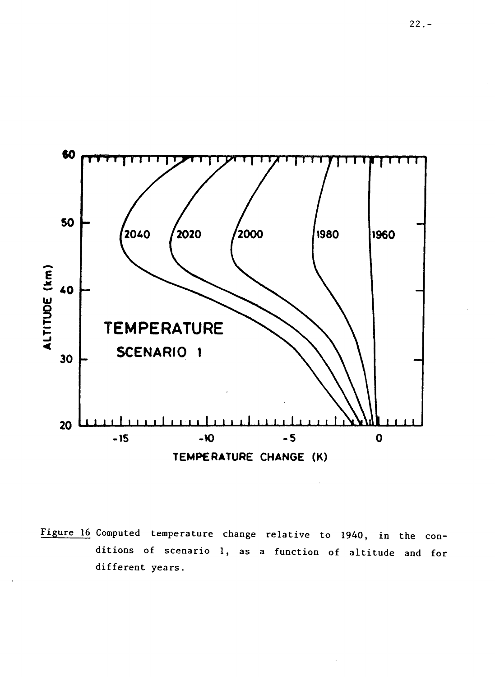

Figure 16 Computed temperature change relative to 1940, in the conditions of scenario 1, as a function of altitude and for different years.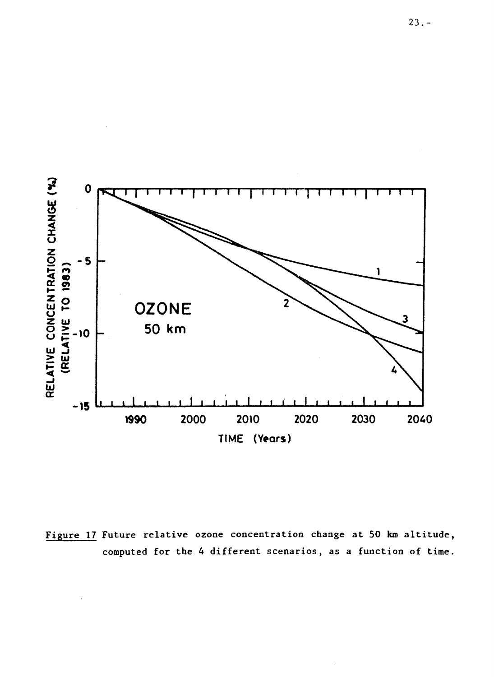

Figure 17 Future relative ozone concentration change at 50 km altitude, computed for the 4 different scenarios, as a function of time.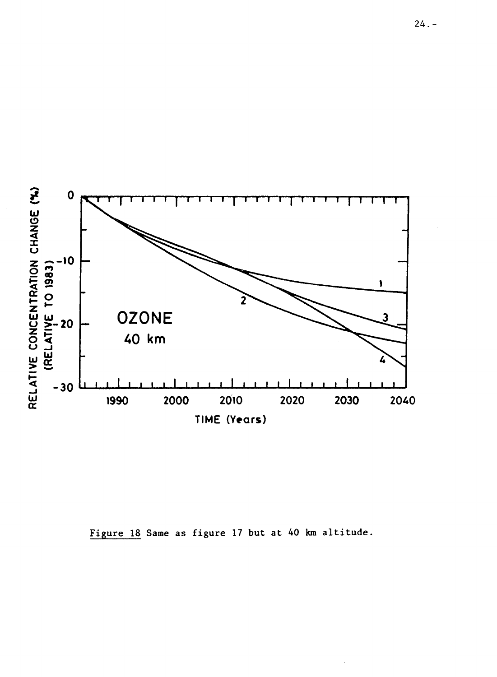

Figure 18 Same as figure 17 but at 40 km altitude.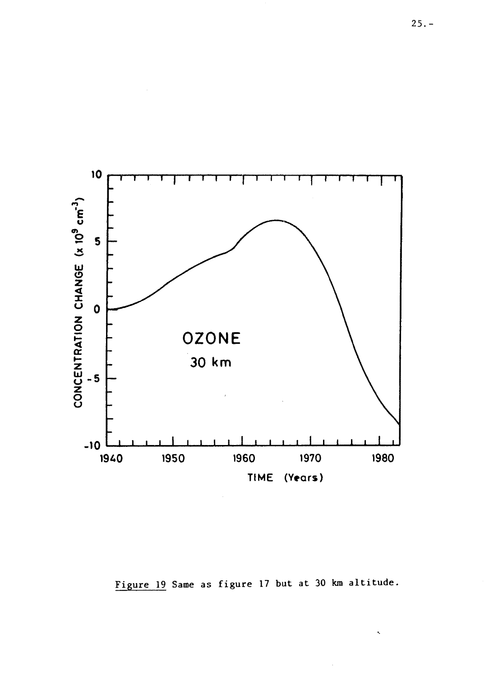

Figure 19 Same as figure 17 but at 30 km altitude.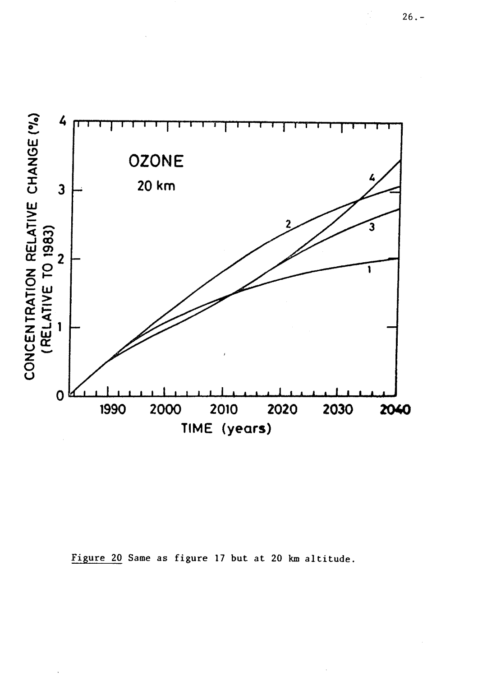

Figure 20 Same as figure 17 but at 20 km altitude.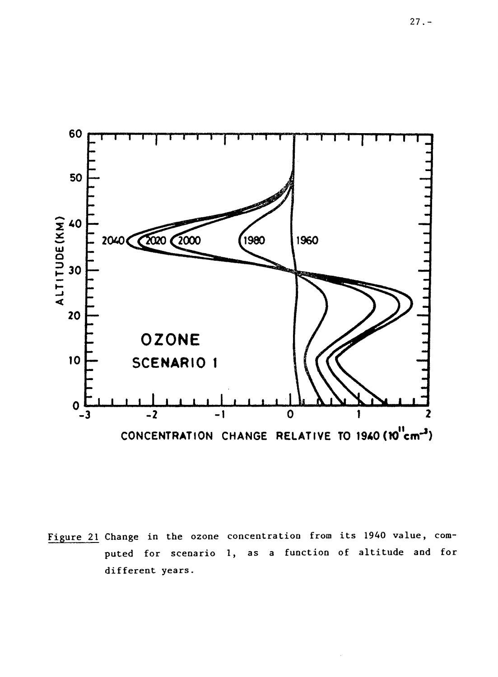

Figure 21 Change in the ozone concentration from its 1940 value, computed for scenario 1, as a function of altitude and for different years.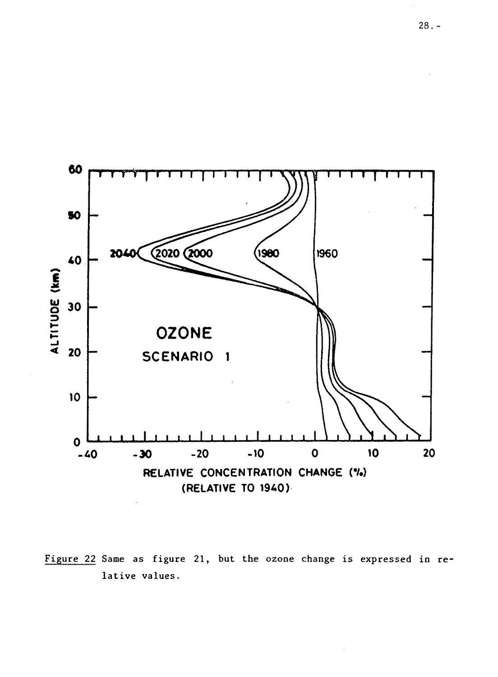

Figure 22 Same as figure 21, but the ozone change is expressed in relative values.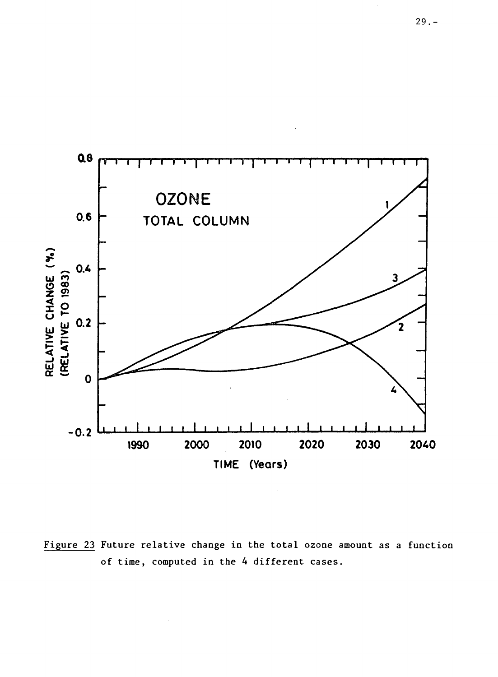

Figure 23 Future relative change in the total ozone amount as a function of time, computed in the 4 different cases.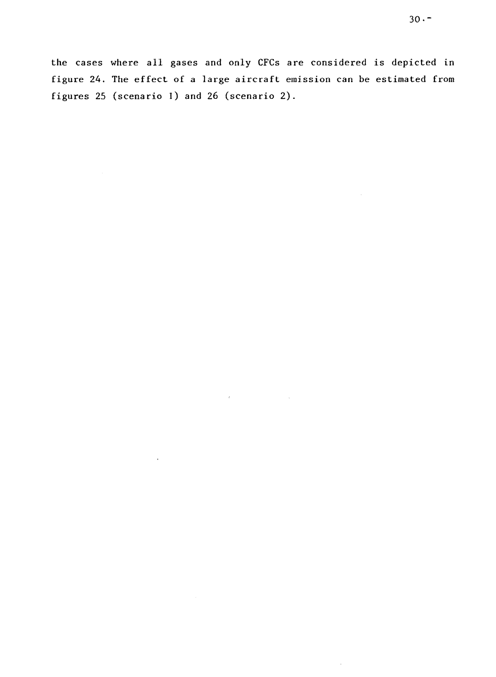the cases where all gases and only CFCs are considered is depicted in figure 24. The effect of a large aircraft emission can be estimated from figures 25 (scenario I) and 26 (scenario 2).

 $\hat{r}$ 

÷,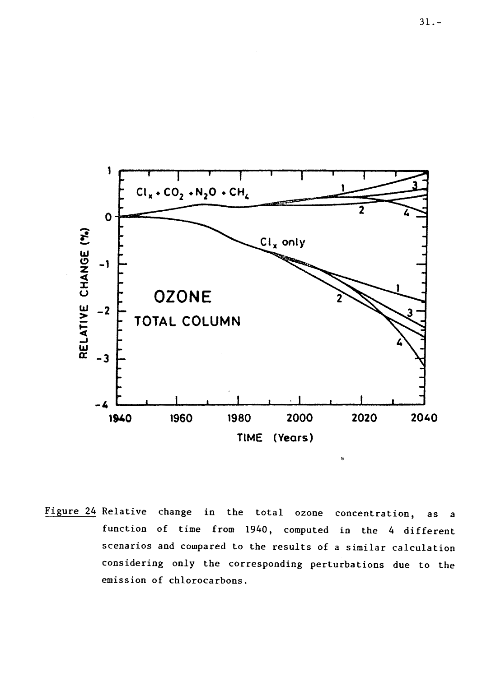

Figure 24 Relative change in the total ozone concentration, as a function of time from 1940, computed in the 4 different scenarios and compared to the results of a similar calculation considering only the corresponding perturbations due to the emission of chlorocarbons.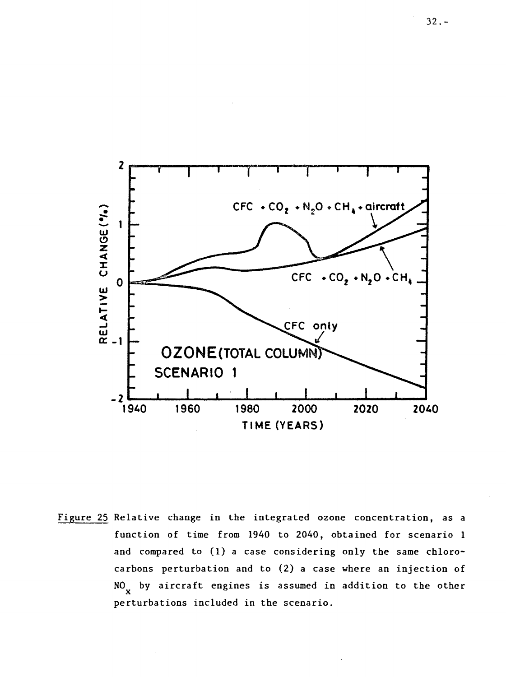

Figure 25 Relative change in the integrated ozone concentration, as a function of time from 1940 to 2040, obtained for scenario 1 and compared to (1) a case considering only the same chlorocarbons perturbation and to (2) a case where an injection of NO<sub>v</sub> by aircraft engines is assumed in addition to the other perturbations included in the scenario.